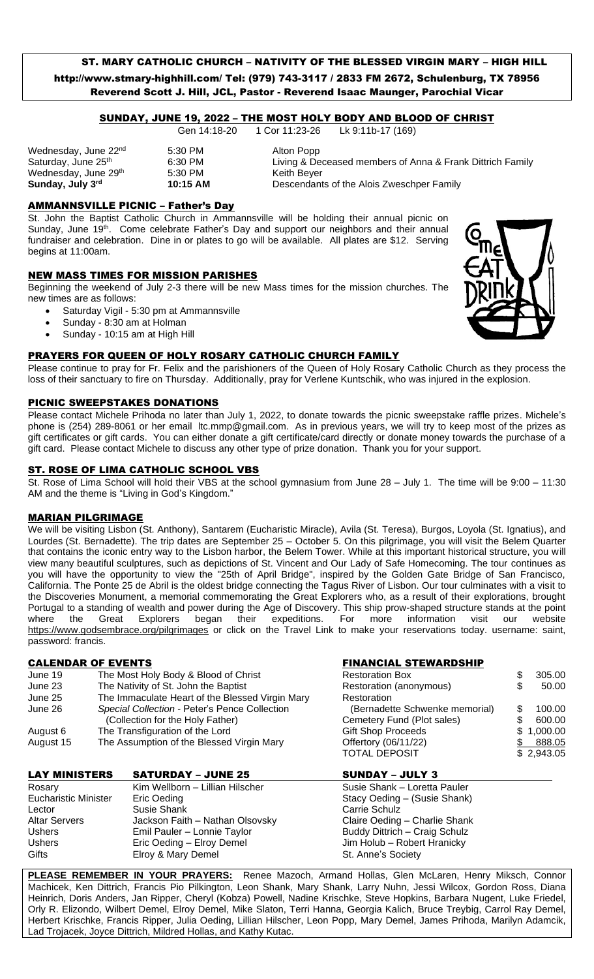# ST. MARY CATHOLIC CHURCH – NATIVITY OF THE BLESSED VIRGIN MARY – HIGH HILL http://www.stmary-highhill.com/ Tel: (979) 743-3117 / 2833 FM 2672, Schulenburg, TX 78956 Reverend Scott J. Hill, JCL, Pastor - Reverend Isaac Maunger, Parochial Vicar

### SUNDAY, JUNE 19, 2022 – THE MOST HOLY BODY AND BLOOD OF CHRIST

Gen 14:18-20 1 Cor 11:23-26 Lk 9:11b-17 (169)

Wednesday, June 22<sup>nd</sup> 5:30 PM 60 Alton Popp Wednesday, June 29th

Saturday, June 25<sup>th</sup> 6:30 PM Living & Deceased members of Anna & Frank Dittrich Family<br>Wednesday, June 29<sup>th</sup> 5:30 PM Keith Beyer Keith Beyer **Sunday, July 3rd 10:15 AM** Descendants of the Alois Zweschper Family

## AMMANNSVILLE PICNIC – Father's Day

St. John the Baptist Catholic Church in Ammannsville will be holding their annual picnic on Sunday, June 19th. Come celebrate Father's Day and support our neighbors and their annual fundraiser and celebration. Dine in or plates to go will be available. All plates are \$12. Serving begins at 11:00am.

# NEW MASS TIMES FOR MISSION PARISHES

Beginning the weekend of July 2-3 there will be new Mass times for the mission churches. The new times are as follows:

- Saturday Vigil 5:30 pm at Ammannsville
- Sunday 8:30 am at Holman
- Sunday 10:15 am at High Hill

#### PRAYERS FOR QUEEN OF HOLY ROSARY CATHOLIC CHURCH FAMILY

Please continue to pray for Fr. Felix and the parishioners of the Queen of Holy Rosary Catholic Church as they process the loss of their sanctuary to fire on Thursday. Additionally, pray for Verlene Kuntschik, who was injured in the explosion.

#### PICNIC SWEEPSTAKES DONATIONS

Please contact Michele Prihoda no later than July 1, 2022, to donate towards the picnic sweepstake raffle prizes. Michele's phone is (254) 289-8061 or her email [ltc.mmp@gmail.com.](mailto:ltc.mmp@gmail.com) As in previous years, we will try to keep most of the prizes as gift certificates or gift cards. You can either donate a gift certificate/card directly or donate money towards the purchase of a gift card. Please contact Michele to discuss any other type of prize donation. Thank you for your support.

#### ST. ROSE OF LIMA CATHOLIC SCHOOL VBS

St. Rose of Lima School will hold their VBS at the school gymnasium from June 28 – July 1. The time will be 9:00 – 11:30 AM and the theme is "Living in God's Kingdom."

#### MARIAN PILGRIMAGE

We will be visiting Lisbon (St. Anthony), Santarem (Eucharistic Miracle), Avila (St. Teresa), Burgos, Loyola (St. Ignatius), and Lourdes (St. Bernadette). The trip dates are September 25 – October 5. On this pilgrimage, you will visit the Belem Quarter that contains the iconic entry way to the Lisbon harbor, the Belem Tower. While at this important historical structure, you will view many beautiful sculptures, such as depictions of St. Vincent and Our Lady of Safe Homecoming. The tour continues as you will have the opportunity to view the "25th of April Bridge", inspired by the Golden Gate Bridge of San Francisco, California. The Ponte 25 de Abril is the oldest bridge connecting the Tagus River of Lisbon. Our tour culminates with a visit to the Discoveries Monument, a memorial commemorating the Great Explorers who, as a result of their explorations, brought Portugal to a standing of wealth and power during the Age of Discovery. This ship prow-shaped structure stands at the point where the Great Explorers began their expeditions. For more information visit our website [https://www.godsembrace.org/pilgrimages](https://r20.rs6.net/tn.jsp?f=001y3jomHHHhrwwb6B4gB-Ro3mHv56h0bOERRZP9_9jvsl-OJgTUmwApb-Fg_5aABTptHcX6x0eDP-3n8xtKCHFt6uRSp_XoojmeiBJZ2g6OrGnLDNz6eJtsYSl95sKRezuu0PWgWJ1NeRPbZxiQboZHDE_jr_g89j13dveICNtWrA=&c=WR3JFuEWx-RIt25NH4bUObiK1Ct8VNmLVpoKlZ8TAUyacoLEwYvp1g==&ch=Eo_fRVJLvVk3VkHEfggXmH5I5y5TZhJJAHTWJ3cUOiu413hgSpvOrA==) or click on the Travel Link to make your reservations today. username: saint, password: francis.

### CALENDAR OF EVENTS FINANCIAL STEWARDSHIP

| June 19   | The Most Holy Body & Blood of Christ            | <b>Restoration Box</b>         |  | 305.00     |
|-----------|-------------------------------------------------|--------------------------------|--|------------|
| June 23   | The Nativity of St. John the Baptist            | Restoration (anonymous)        |  | 50.00      |
| June 25   | The Immaculate Heart of the Blessed Virgin Mary | Restoration                    |  |            |
| June 26   | Special Collection - Peter's Pence Collection   | (Bernadette Schwenke memorial) |  | 100.00     |
|           | (Collection for the Holy Father)                | Cemetery Fund (Plot sales)     |  | 600.00     |
| August 6  | The Transfiguration of the Lord                 | <b>Gift Shop Proceeds</b>      |  | \$1,000.00 |
| August 15 | The Assumption of the Blessed Virgin Mary       | Offertory (06/11/22)           |  | 888.05     |
|           |                                                 | <b>TOTAL DEPOSIT</b>           |  | \$2,943.05 |

| <b>LAY MINISTERS</b>        | <b>SATURDAY - JUNE 25</b>       | <b>SUNDAY - JULY 3</b>        |
|-----------------------------|---------------------------------|-------------------------------|
| Rosary                      | Kim Wellborn - Lillian Hilscher | Susie Shank - Loretta Pauler  |
| <b>Eucharistic Minister</b> | Eric Oeding                     | Stacy Oeding - (Susie Shank)  |
| Lector                      | Susie Shank                     | Carrie Schulz                 |
| <b>Altar Servers</b>        | Jackson Faith - Nathan Olsovsky | Claire Oeding - Charlie Shank |
| <b>Ushers</b>               | Emil Pauler - Lonnie Taylor     | Buddy Dittrich - Craig Schulz |
| <b>Ushers</b>               | Eric Oeding - Elroy Demel       | Jim Holub - Robert Hranicky   |
| Gifts                       | Elroy & Mary Demel              | St. Anne's Society            |

**PLEASE REMEMBER IN YOUR PRAYERS:** Renee Mazoch, Armand Hollas, Glen McLaren, Henry Miksch, Connor Machicek, Ken Dittrich, Francis Pio Pilkington, Leon Shank, Mary Shank, Larry Nuhn, Jessi Wilcox, Gordon Ross, Diana Heinrich, Doris Anders, Jan Ripper, Cheryl (Kobza) Powell, Nadine Krischke, Steve Hopkins, Barbara Nugent, Luke Friedel, Orly R. Elizondo, Wilbert Demel, Elroy Demel, Mike Slaton, Terri Hanna, Georgia Kalich, Bruce Treybig, Carrol Ray Demel, Herbert Krischke, Francis Ripper, Julia Oeding, Lillian Hilscher, Leon Popp, Mary Demel, James Prihoda, Marilyn Adamcik, Lad Trojacek, Joyce Dittrich, Mildred Hollas, and Kathy Kutac.